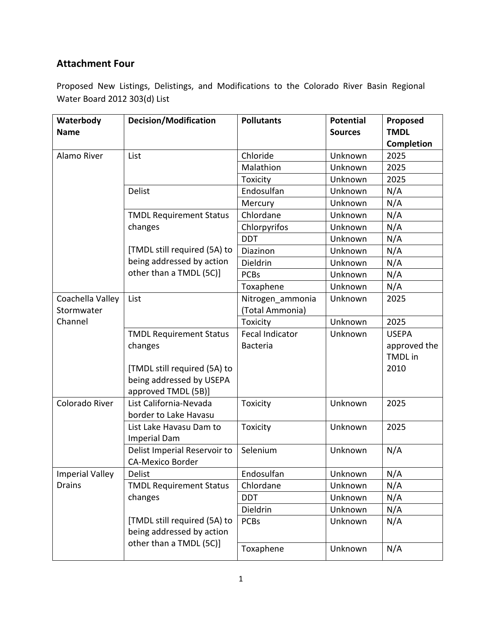## **Attachment Four**

Proposed New Listings, Delistings, and Modifications to the Colorado River Basin Regional Water Board 2012 303(d) List

| Waterbody                               | <b>Decision/Modification</b>                                                                                                      | <b>Pollutants</b>      | <b>Potential</b> | Proposed       |
|-----------------------------------------|-----------------------------------------------------------------------------------------------------------------------------------|------------------------|------------------|----------------|
| <b>Name</b>                             |                                                                                                                                   |                        | <b>Sources</b>   | <b>TMDL</b>    |
|                                         |                                                                                                                                   |                        |                  | Completion     |
| Alamo River                             | List                                                                                                                              | Chloride               | Unknown          | 2025           |
|                                         |                                                                                                                                   | Malathion              | Unknown          | 2025           |
|                                         |                                                                                                                                   | Toxicity               | Unknown          | 2025           |
|                                         | <b>Delist</b>                                                                                                                     | Endosulfan             | Unknown          | N/A            |
|                                         |                                                                                                                                   | Mercury                | Unknown          | N/A            |
|                                         | <b>TMDL Requirement Status</b><br>changes                                                                                         | Chlordane              | Unknown          | N/A            |
|                                         |                                                                                                                                   | Chlorpyrifos           | Unknown          | N/A            |
|                                         |                                                                                                                                   | <b>DDT</b>             | Unknown          | N/A            |
|                                         | [TMDL still required (5A) to<br>being addressed by action<br>other than a TMDL (5C)]                                              | Diazinon               | Unknown          | N/A            |
|                                         |                                                                                                                                   | Dieldrin               | Unknown          | N/A            |
|                                         |                                                                                                                                   | <b>PCBs</b>            | Unknown          | N/A            |
|                                         |                                                                                                                                   | Toxaphene              | Unknown          | N/A            |
| Coachella Valley                        | List                                                                                                                              | Nitrogen_ammonia       | Unknown          | 2025           |
| Stormwater                              |                                                                                                                                   | (Total Ammonia)        |                  |                |
| Channel                                 |                                                                                                                                   | Toxicity               | Unknown          | 2025           |
|                                         | <b>TMDL Requirement Status</b>                                                                                                    | <b>Fecal Indicator</b> | Unknown          | <b>USEPA</b>   |
|                                         | changes                                                                                                                           | Bacteria               |                  | approved the   |
|                                         |                                                                                                                                   |                        |                  | <b>TMDL</b> in |
|                                         | [TMDL still required (5A) to                                                                                                      |                        |                  | 2010           |
|                                         | being addressed by USEPA                                                                                                          |                        |                  |                |
|                                         | approved TMDL (5B)]                                                                                                               |                        |                  |                |
| Colorado River                          | List California-Nevada                                                                                                            | Toxicity               | Unknown          | 2025           |
|                                         | border to Lake Havasu                                                                                                             |                        |                  |                |
|                                         | List Lake Havasu Dam to                                                                                                           | Toxicity               | Unknown          | 2025           |
|                                         | <b>Imperial Dam</b>                                                                                                               |                        |                  |                |
|                                         | Delist Imperial Reservoir to                                                                                                      | Selenium               | Unknown          | N/A            |
|                                         | <b>CA-Mexico Border</b>                                                                                                           |                        |                  |                |
| <b>Imperial Valley</b><br><b>Drains</b> | <b>Delist</b>                                                                                                                     | Endosulfan             | Unknown          | N/A            |
|                                         | <b>TMDL Requirement Status</b><br>changes<br>[TMDL still required (5A) to<br>being addressed by action<br>other than a TMDL (5C)] | Chlordane              | Unknown          | N/A            |
|                                         |                                                                                                                                   | <b>DDT</b>             | Unknown          | N/A            |
|                                         |                                                                                                                                   | Dieldrin               | Unknown          | N/A            |
|                                         |                                                                                                                                   | <b>PCBs</b>            | Unknown          | N/A            |
|                                         |                                                                                                                                   |                        |                  |                |
|                                         |                                                                                                                                   | Toxaphene              | Unknown          | N/A            |